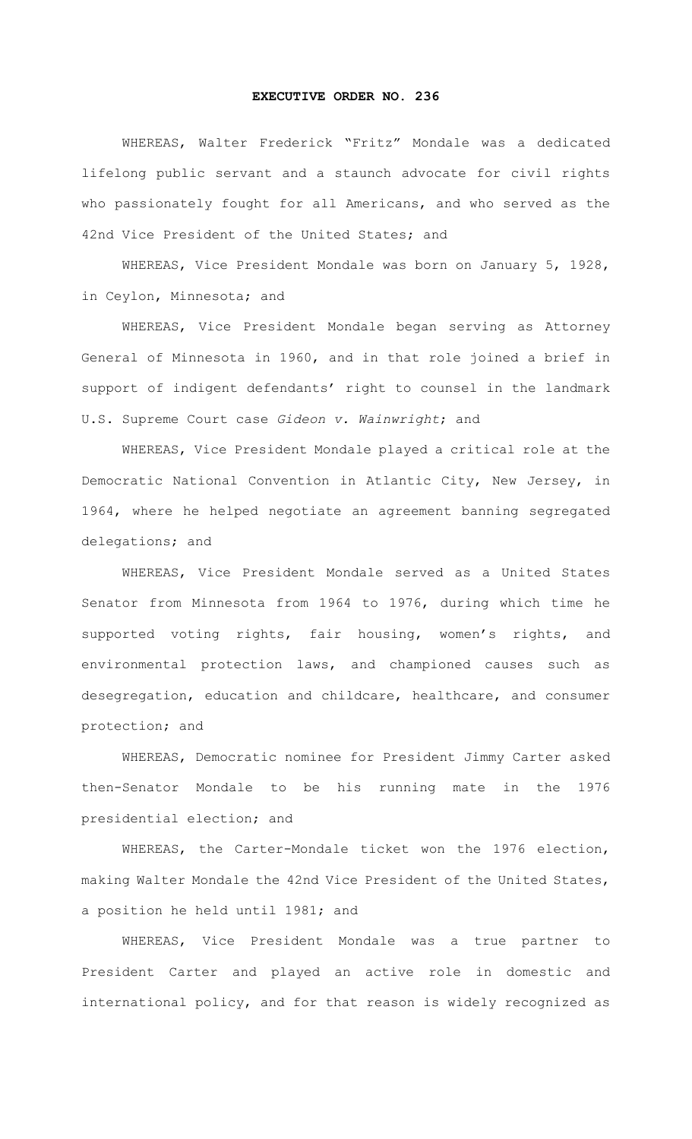## **EXECUTIVE ORDER NO. 236**

WHEREAS, Walter Frederick "Fritz" Mondale was a dedicated lifelong public servant and a staunch advocate for civil rights who passionately fought for all Americans, and who served as the 42nd Vice President of the United States; and

WHEREAS, Vice President Mondale was born on January 5, 1928, in Ceylon, Minnesota; and

WHEREAS, Vice President Mondale began serving as Attorney General of Minnesota in 1960, and in that role joined a brief in support of indigent defendants' right to counsel in the landmark U.S. Supreme Court case *Gideon v. Wainwright*; and

WHEREAS, Vice President Mondale played a critical role at the Democratic National Convention in Atlantic City, New Jersey, in 1964, where he helped negotiate an agreement banning segregated delegations; and

WHEREAS, Vice President Mondale served as a United States Senator from Minnesota from 1964 to 1976, during which time he supported voting rights, fair housing, women's rights, and environmental protection laws, and championed causes such as desegregation, education and childcare, healthcare, and consumer protection; and

WHEREAS, Democratic nominee for President Jimmy Carter asked then-Senator Mondale to be his running mate in the 1976 presidential election; and

WHEREAS, the Carter-Mondale ticket won the 1976 election, making Walter Mondale the 42nd Vice President of the United States, a position he held until 1981; and

WHEREAS, Vice President Mondale was a true partner to President Carter and played an active role in domestic and international policy, and for that reason is widely recognized as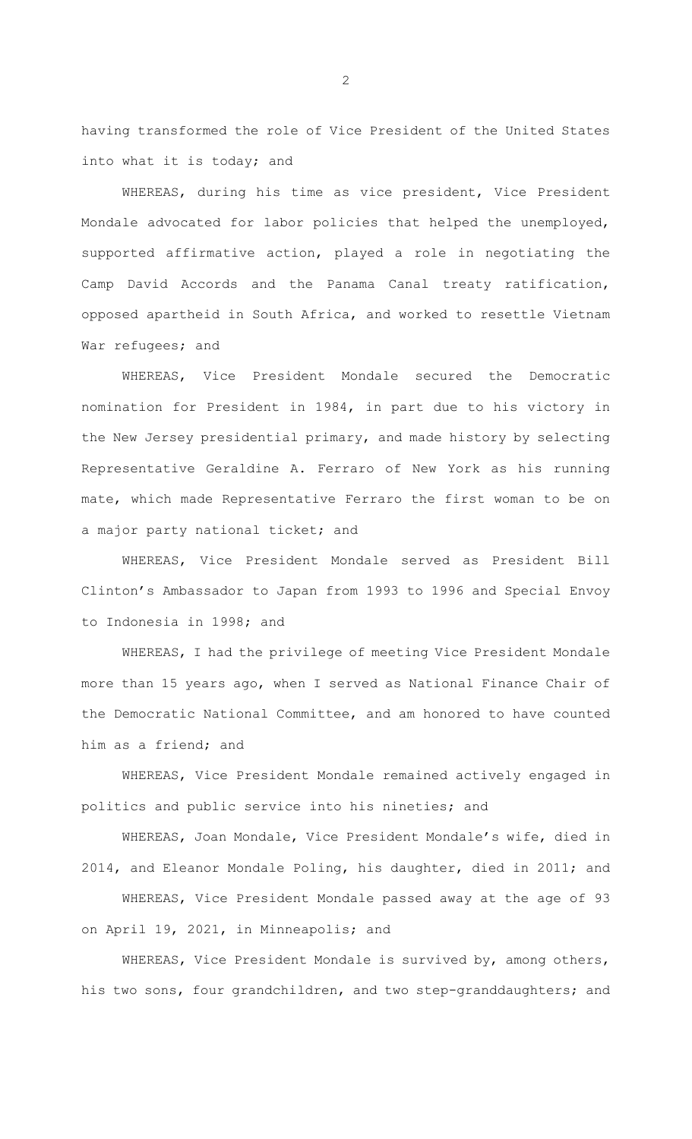having transformed the role of Vice President of the United States into what it is today; and

WHEREAS, during his time as vice president, Vice President Mondale advocated for labor policies that helped the unemployed, supported affirmative action, played a role in negotiating the Camp David Accords and the Panama Canal treaty ratification, opposed apartheid in South Africa, and worked to resettle Vietnam War refugees; and

WHEREAS, Vice President Mondale secured the Democratic nomination for President in 1984, in part due to his victory in the New Jersey presidential primary, and made history by selecting Representative Geraldine A. Ferraro of New York as his running mate, which made Representative Ferraro the first woman to be on a major party national ticket; and

WHEREAS, Vice President Mondale served as President Bill Clinton's Ambassador to Japan from 1993 to 1996 and Special Envoy to Indonesia in 1998; and

WHEREAS, I had the privilege of meeting Vice President Mondale more than 15 years ago, when I served as National Finance Chair of the Democratic National Committee, and am honored to have counted him as a friend; and

WHEREAS, Vice President Mondale remained actively engaged in politics and public service into his nineties; and

WHEREAS, Joan Mondale, Vice President Mondale's wife, died in 2014, and Eleanor Mondale Poling, his daughter, died in 2011; and

WHEREAS, Vice President Mondale passed away at the age of 93 on April 19, 2021, in Minneapolis; and

WHEREAS, Vice President Mondale is survived by, among others, his two sons, four grandchildren, and two step-granddaughters; and

2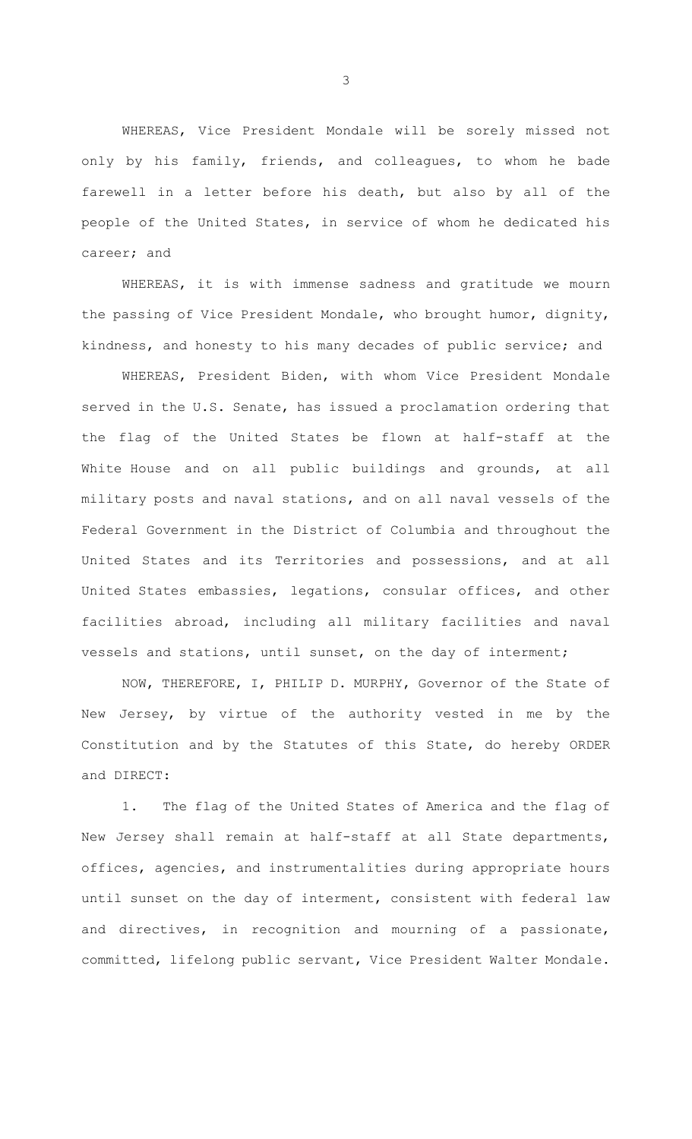WHEREAS, Vice President Mondale will be sorely missed not only by his family, friends, and colleagues, to whom he bade farewell in a letter before his death, but also by all of the people of the United States, in service of whom he dedicated his career; and

WHEREAS, it is with immense sadness and gratitude we mourn the passing of Vice President Mondale, who brought humor, dignity, kindness, and honesty to his many decades of public service; and

WHEREAS, President Biden, with whom Vice President Mondale served in the U.S. Senate, has issued a proclamation ordering that the flag of the United States be flown at half-staff at the White House and on all public buildings and grounds, at all military posts and naval stations, and on all naval vessels of the Federal Government in the District of Columbia and throughout the United States and its Territories and possessions, and at all United States embassies, legations, consular offices, and other facilities abroad, including all military facilities and naval vessels and stations, until sunset, on the day of interment;

NOW, THEREFORE, I, PHILIP D. MURPHY, Governor of the State of New Jersey, by virtue of the authority vested in me by the Constitution and by the Statutes of this State, do hereby ORDER and DIRECT:

1. The flag of the United States of America and the flag of New Jersey shall remain at half-staff at all State departments, offices, agencies, and instrumentalities during appropriate hours until sunset on the day of interment, consistent with federal law and directives, in recognition and mourning of a passionate, committed, lifelong public servant, Vice President Walter Mondale.

3